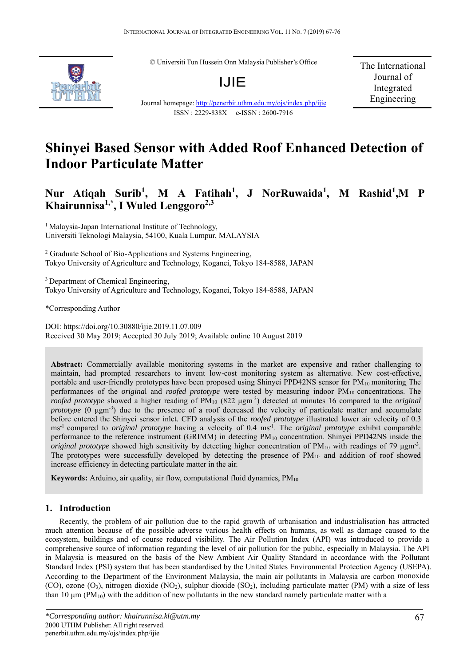© Universiti Tun Hussein Onn Malaysia Publisher's Office



Journal homepage: http://penerbit.uthm.edu.my/ojs/index.php/ijie ISSN : 2229-838X e-ISSN : 2600-7916

The International Journal of Integrated Engineering



**Nur Atiqah Surib<sup>1</sup> , M A Fatihah<sup>1</sup> , J NorRuwaida<sup>1</sup> , M Rashid<sup>1</sup> ,M P** Khairunnisa<sup>1,\*</sup>, I Wuled Lenggoro<sup>2,3</sup>

<sup>1</sup> Malaysia-Japan International Institute of Technology, Universiti Teknologi Malaysia, 54100, Kuala Lumpur, MALAYSIA

<sup>2</sup> Graduate School of Bio-Applications and Systems Engineering, Tokyo University of Agriculture and Technology, Koganei, Tokyo 184-8588, JAPAN

<sup>3</sup> Department of Chemical Engineering, Tokyo University of Agriculture and Technology, Koganei, Tokyo 184-8588, JAPAN

\*Corresponding Author

DOI: https://doi.org/10.30880/ijie.2019.11.07.009 Received 30 May 2019; Accepted 30 July 2019; Available online 10 August 2019

**Abstract:** Commercially available monitoring systems in the market are expensive and rather challenging to maintain, had prompted researchers to invent low-cost monitoring system as alternative. New cost-effective, portable and user-friendly prototypes have been proposed using Shinyei PPD42NS sensor for PM<sub>10</sub> monitoring. The performances of the *origina*l and *roofed prototype* were tested by measuring indoor PM10 concentrations. The *roofed prototype* showed a higher reading of PM10 (822 μgm-3) detected at minutes 16 compared to the *original prototype* (0 μgm<sup>-3</sup>) due to the presence of a roof decreased the velocity of particulate matter and accumulate before entered the Shinyei sensor inlet. CFD analysis of the *roofed prototype* illustrated lower air velocity of 0.3 ms-1 compared to *original prototype* having a velocity of 0.4 ms-1. The *original prototype* exhibit comparable performance to the reference instrument (GRIMM) in detecting PM10 concentration. Shinyei PPD42NS inside the *original prototype* showed high sensitivity by detecting higher concentration of  $PM_{10}$  with readings of 79  $\mu$ gm<sup>-3</sup>. The prototypes were successfully developed by detecting the presence of PM<sub>10</sub> and addition of roof showed increase efficiency in detecting particulate matter in the air.

**Keywords:** Arduino, air quality, air flow, computational fluid dynamics, PM<sub>10</sub>

# **1. Introduction**

Recently, the problem of air pollution due to the rapid growth of urbanisation and industrialisation has attracted much attention because of the possible adverse various health effects on humans, as well as damage caused to the ecosystem, buildings and of course reduced visibility. The Air Pollution Index (API) was introduced to provide a comprehensive source of information regarding the level of air pollution for the public, especially in Malaysia. The API in Malaysia is measured on the basis of the New Ambient Air Quality Standard in accordance with the Pollutant Standard Index (PSI) system that has been standardised by the United States Environmental Protection Agency (USEPA). According to the Department of the Environment Malaysia, the main air pollutants in Malaysia are carbon monoxide (CO), ozone  $(O_3)$ , nitrogen dioxide (NO<sub>2</sub>), sulphur dioxide (SO<sub>2</sub>), including particulate matter (PM) with a size of less than 10  $\mu$ m (PM<sub>10</sub>) with the addition of new pollutants in the new standard namely particulate matter with a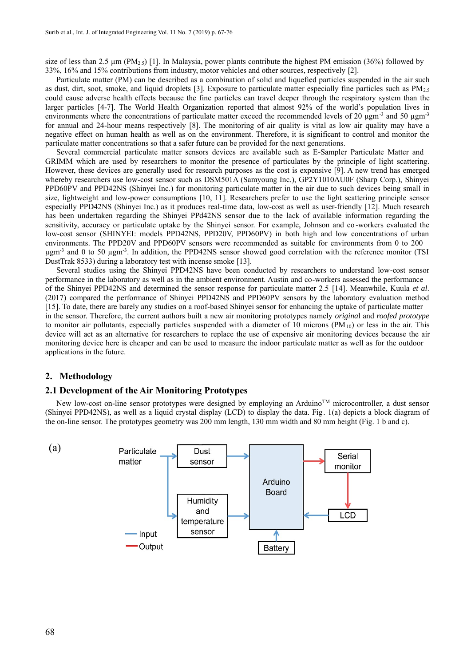size of less than 2.5  $\mu$ m (PM<sub>2.5</sub>) [1]. In Malaysia, power plants contribute the highest PM emission (36%) followed by 33%, 16% and 15% contributions from industry, motor vehicles and other sources, respectively [2].

Particulate matter (PM) can be described as a combination of solid and liquefied particles suspended in the air such as dust, dirt, soot, smoke, and liquid droplets [3]. Exposure to particulate matter especially fine particles such as PM2.5 could cause adverse health effects because the fine particles can travel deeper through the respiratory system than the larger particles [4-7]. The World Health Organization reported that almost 92% of the world's population lives in environments where the concentrations of particulate matter exceed the recommended levels of 20 μgm<sup>-3</sup> and 50 μgm<sup>-3</sup> for annual and 24-hour means respectively [8]. The monitoring of air quality is vital as low air quality may have a negative effect on human health as well as on the environment. Therefore, it is significant to control and monitor the particulate matter concentrations so that a safer future can be provided for the next generations.

Several commercial particulate matter sensors devices are available such as E-Sampler Particulate Matter and GRIMM which are used by researchers to monitor the presence of particulates by the principle of light scattering. However, these devices are generally used for research purposes as the cost is expensive [9]. A new trend has emerged whereby researchers use low-cost sensor such as DSM501A (Samyoung Inc.), GP2Y1010AU0F (Sharp Corp.), Shinyei PPD60PV and PPD42NS (Shinyei Inc.) for monitoring particulate matter in the air due to such devices being small in size, lightweight and low-power consumptions [10, 11]. Researchers prefer to use the light scattering principle sensor especially PPD42NS (Shinyei Inc.) as it produces real-time data, low-cost as well as user-friendly [12]. Much research has been undertaken regarding the Shinyei PPd42NS sensor due to the lack of available information regarding the sensitivity, accuracy or particulate uptake by the Shinyei sensor. For example, Johnson and co -workers evaluated the low-cost sensor (SHINYEI: models PPD42NS, PPD20V, PPD60PV) in both high and low concentrations of urban environments. The PPD20V and PPD60PV sensors were recommended as suitable for environments from 0 to 200 µgm<sup>-3</sup> and 0 to 50 µgm<sup>-3</sup>. In addition, the PPD42NS sensor showed good correlation with the reference monitor (TSI DustTrak 8533) during a laboratory test with incense smoke [13].

Several studies using the Shinyei PPD42NS have been conducted by researchers to understand low-cost sensor performance in the laboratory as well as in the ambient environment. Austin and co-workers assessed the performance of the Shinyei PPD42NS and determined the sensor response for particulate matter 2.5 [14]. Meanwhile, Kuula *et al*. (2017) compared the performance of Shinyei PPD42NS and PPD60PV sensors by the laboratory evaluation method [15]. To date, there are barely any studies on a roof-based Shinyei sensor for enhancing the uptake of particulate matter in the sensor. Therefore, the current authors built a new air monitoring prototypes namely *origina*l and *roofed prototype* to monitor air pollutants, especially particles suspended with a diameter of 10 microns  $(PM_{10})$  or less in the air. This device will act as an alternative for researchers to replace the use of expensive air monitoring devices because the air monitoring device here is cheaper and can be used to measure the indoor particulate matter as well as for the outdoor applications in the future.

### **2. Methodology**

#### **2.1 Development of the Air Monitoring Prototypes**

New low-cost on-line sensor prototypes were designed by employing an Arduino™ microcontroller, a dust sensor (Shinyei PPD42NS), as well as a liquid crystal display (LCD) to display the data. Fig. 1(a) depicts a block diagram of the on-line sensor. The prototypes geometry was 200 mm length, 130 mm width and 80 mm height (Fig. 1 b and c).

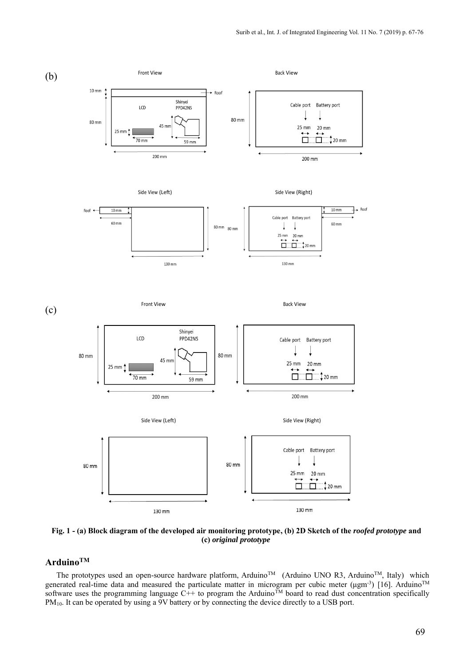

**Fig. 1 - (a) Block diagram of the developed air monitoring prototype, (b) 2D Sketch of the** *roofed prototype* **and (c)** *original prototype*

# **ArduinoTM**

The prototypes used an open-source hardware platform, Arduino™ (Arduino UNO R3, Arduino™, Italy) which generated real-time data and measured the particulate matter in microgram per cubic meter (μgm<sup>-3</sup>) [16]. Arduino<sup>TM</sup> software uses the programming language C++ to program the Arduino<sup>TM</sup> board to read dust concentration specifically PM<sub>10</sub>. It can be operated by using a 9V battery or by connecting the device directly to a USB port.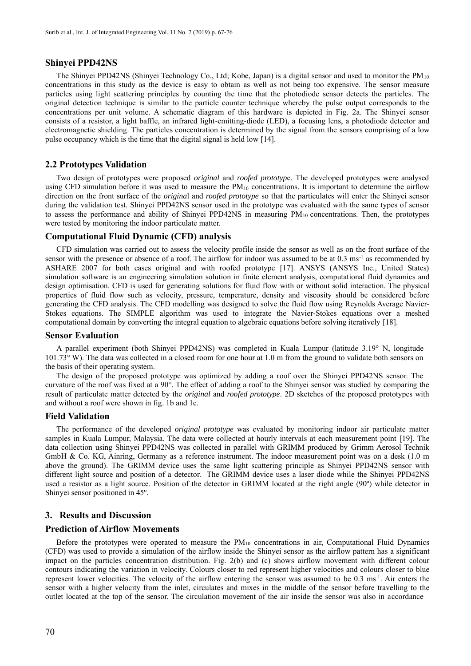### **Shinyei PPD42NS**

The Shinyei PPD42NS (Shinyei Technology Co., Ltd; Kobe, Japan) is a digital sensor and used to monitor the PM10 concentrations in this study as the device is easy to obtain as well as not being too expensive. The sensor measure particles using light scattering principles by counting the time that the photodiode sensor detects the particles. The original detection technique is similar to the particle counter technique whereby the pulse output corresponds to the concentrations per unit volume. A schematic diagram of this hardware is depicted in Fig. 2a. The Shinyei sensor consists of a resistor, a light baffle, an infrared light-emitting-diode (LED), a focusing lens, a photodiode detector and electromagnetic shielding. The particles concentration is determined by the signal from the sensors comprising of a low pulse occupancy which is the time that the digital signal is held low [14].

### **2.2 Prototypes Validation**

Two design of prototypes were proposed *original* and *roofed prototyp*e. The developed prototypes were analysed using CFD simulation before it was used to measure the  $PM_{10}$  concentrations. It is important to determine the airflow direction on the front surface of the *origina*l and *roofed prototype* so that the particulates will enter the Shinyei sensor during the validation test. Shinyei PPD42NS sensor used in the prototype was evaluated with the same types of sensor to assess the performance and ability of Shinyei PPD42NS in measuring PM<sub>10</sub> concentrations. Then, the prototypes were tested by monitoring the indoor particulate matter.

#### **Computational Fluid Dynamic (CFD) analysis**

CFD simulation was carried out to assess the velocity profile inside the sensor as well as on the front surface of the sensor with the presence or absence of a roof. The airflow for indoor was assumed to be at 0.3 ms<sup>-1</sup> as recommended by ASHARE 2007 for both cases original and with roofed prototype [17]. ANSYS (ANSYS Inc., United States) simulation software is an engineering simulation solution in finite element analysis, computational fluid dynamics and design optimisation. CFD is used for generating solutions for fluid flow with or without solid interaction. The physical properties of fluid flow such as velocity, pressure, temperature, density and viscosity should be considered before generating the CFD analysis. The CFD modelling was designed to solve the fluid flow using Reynolds Average Navier-Stokes equations. The SIMPLE algorithm was used to integrate the Navier-Stokes equations over a meshed computational domain by converting the integral equation to algebraic equations before solving iteratively [18].

#### **Sensor Evaluation**

A parallel experiment (both Shinyei PPD42NS) was completed in Kuala Lumpur (latitude 3.19° N, longitude 101.73° W). The data was collected in a closed room for one hour at 1.0 m from the ground to validate both sensors on the basis of their operating system.

The design of the proposed prototype was optimized by adding a roof over the Shinyei PPD42NS sensor. The curvature of the roof was fixed at a 90°. The effect of adding a roof to the Shinyei sensor was studied by comparing the result of particulate matter detected by the *original* and *roofed prototype*. 2D sketches of the proposed prototypes with and without a roof were shown in fig. 1b and 1c.

### **Field Validation**

The performance of the developed *original prototype* was evaluated by monitoring indoor air particulate matter samples in Kuala Lumpur, Malaysia. The data were collected at hourly intervals at each measurement point [19]. The data collection using Shinyei PPD42NS was collected in parallel with GRIMM produced by Grimm Aerosol Technik GmbH & Co. KG, Ainring, Germany as a reference instrument. The indoor measurement point was on a desk (1.0 m above the ground). The GRIMM device uses the same light scattering principle as Shinyei PPD42NS sensor with different light source and position of a detector. The GRIMM device uses a laser diode while the Shinyei PPD42NS used a resistor as a light source. Position of the detector in GRIMM located at the right angle (90º) while detector in Shinyei sensor positioned in 45º.

### **3. Results and Discussion**

### **Prediction of Airflow Movements**

Before the prototypes were operated to measure the  $PM_{10}$  concentrations in air, Computational Fluid Dynamics (CFD) was used to provide a simulation of the airflow inside the Shinyei sensor as the airflow pattern has a significant impact on the particles concentration distribution. Fig. 2(b) and (c) shows airflow movement with different colour contours indicating the variation in velocity. Colours closer to red represent higher velocities and colours closer to blue represent lower velocities. The velocity of the airflow entering the sensor was assumed to be 0.3 ms-1. Air enters the sensor with a higher velocity from the inlet, circulates and mixes in the middle of the sensor before travelling to the outlet located at the top of the sensor. The circulation movement of the air inside the sensor was also in accordance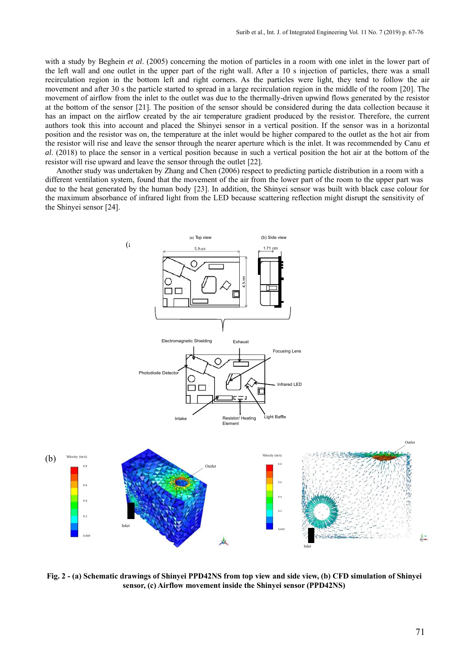with a study by Beghein *et al*. (2005) concerning the motion of particles in a room with one inlet in the lower part of the left wall and one outlet in the upper part of the right wall. After a 10 s injection of particles, there was a small recirculation region in the bottom left and right corners. As the particles were light, they tend to follow the air movement and after 30 s the particle started to spread in a large recirculation region in the middle of the room [20]. The movement of airflow from the inlet to the outlet was due to the thermally-driven upwind flows generated by the resistor at the bottom of the sensor [21]. The position of the sensor should be considered during the data collection because it has an impact on the airflow created by the air temperature gradient produced by the resistor. Therefore, the current authors took this into account and placed the Shinyei sensor in a vertical position. If the sensor was in a horizontal position and the resistor was on, the temperature at the inlet would be higher compared to the outlet as the hot air from the resistor will rise and leave the sensor through the nearer aperture which is the inlet. It was recommended by Canu *et al*. (2018) to place the sensor in a vertical position because in such a vertical position the hot air at the bottom of the resistor will rise upward and leave the sensor through the outlet [22].

Another study was undertaken by Zhang and Chen (2006) respect to predicting particle distribution in a room with a different ventilation system, found that the movement of the air from the lower part of the room to the upper part was due to the heat generated by the human body [23]. In addition, the Shinyei sensor was built with black case colour for the maximum absorbance of infrared light from the LED because scattering reflection might disrupt the sensitivity of the Shinyei sensor [24].



**Fig. 2 - (a) Schematic drawings of Shinyei PPD42NS from top view and side view, (b) CFD simulation of Shinyei sensor, (c) Airflow movement inside the Shinyei sensor (PPD42NS)**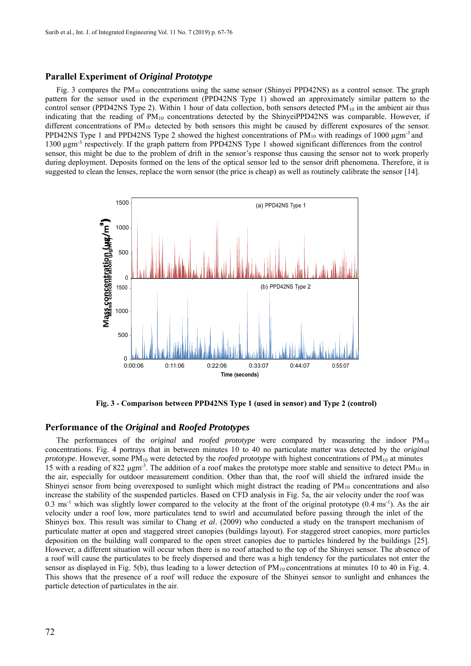#### **Parallel Experiment of** *Original Prototype*

Fig. 3 compares the PM10 concentrations using the same sensor (Shinyei PPD42NS) as a control sensor. The graph pattern for the sensor used in the experiment (PPD42NS Type 1) showed an approximately similar pattern to the control sensor (PPD42NS Type 2). Within 1 hour of data collection, both sensors detected  $PM_{10}$  in the ambient air thus indicating that the reading of PM10 concentrations detected by the ShinyeiPPD42NS was comparable. However, if different concentrations of  $PM_{10}$  detected by both sensors this might be caused by different exposures of the sensor. PPD42NS Type 1 and PPD42NS Type 2 showed the highest concentrations of  $PM_{10}$  with readings of 1000  $\mu$ gm<sup>-3</sup> and 1300 µgm-3 respectively. If the graph pattern from PPD42NS Type 1 showed significant differences from the control sensor, this might be due to the problem of drift in the sensor's response thus causing the sensor not to work properly during deployment. Deposits formed on the lens of the optical sensor led to the sensor drift phenomena. Therefore, it is suggested to clean the lenses, replace the worn sensor (the price is cheap) as well as routinely calibrate the sensor [14].



**Fig. 3 - Comparison between PPD42NS Type 1 (used in sensor) and Type 2 (control)**

### **Performance of the** *Original* **and** *Roofed Prototypes*

The performances of the *original* and *roofed prototype* were compared by measuring the indoor PM10 concentrations. Fig. 4 portrays that in between minutes 10 to 40 no particulate matter was detected by the *original prototype*. However, some PM<sub>10</sub> were detected by the *roofed prototype* with highest concentrations of PM<sub>10</sub> at minutes 15 with a reading of 822  $\mu$ gm<sup>-3</sup>. The addition of a roof makes the prototype more stable and sensitive to detect PM<sub>10</sub> in the air, especially for outdoor measurement condition. Other than that, the roof will shield the infrared inside the Shinyei sensor from being overexposed to sunlight which might distract the reading of  $PM_{10}$  concentrations and also increase the stability of the suspended particles. Based on CFD analysis in Fig. 5a, the air velocity under the roof was 0.3 ms<sup>-1</sup> which was slightly lower compared to the velocity at the front of the original prototype  $(0.4 \text{ ms}^{-1})$ . As the air velocity under a roof low, more particulates tend to swirl and accumulated before passing through the inlet of the Shinyei box. This result was similar to Chang *et al*. (2009) who conducted a study on the transport mechanism of particulate matter at open and staggered street canopies (buildings layout). For staggered street canopies, more particles deposition on the building wall compared to the open street canopies due to particles hindered by the buildings [25]. However, a different situation will occur when there is no roof attached to the top of the Shinyei sensor. The ab sence of a roof will cause the particulates to be freely dispersed and there was a high tendency for the particulates not enter the sensor as displayed in Fig. 5(b), thus leading to a lower detection of  $PM_{10}$  concentrations at minutes 10 to 40 in Fig. 4. This shows that the presence of a roof will reduce the exposure of the Shinyei sensor to sunlight and enhances the particle detection of particulates in the air.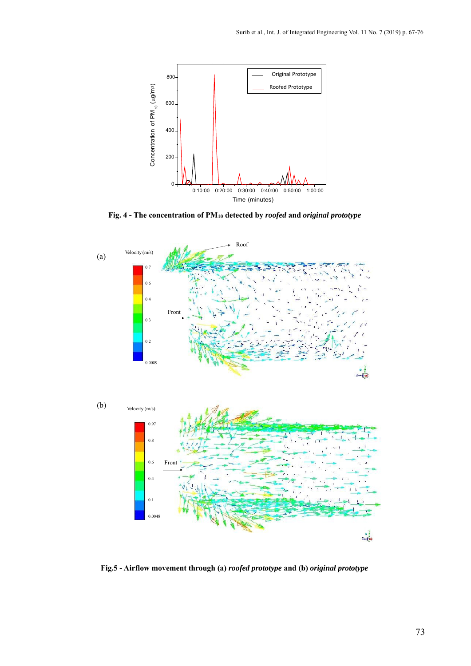

**Fig. 4 - The concentration of PM10 detected by** *roofed* **and** *original prototype*



**Fig.5 - Airflow movement through (a)** *roofed prototype* **and (b)** *original prototype*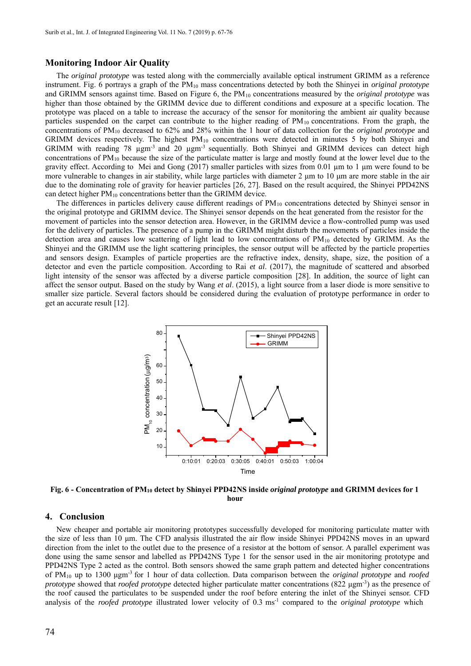### **Monitoring Indoor Air Quality**

The *original prototype* was tested along with the commercially available optical instrument GRIMM as a reference instrument. Fig. 6 portrays a graph of the PM10 mass concentrations detected by both the Shinyei in *original prototype* and GRIMM sensors against time. Based on Figure 6, the PM10 concentrations measured by the *original prototype* was higher than those obtained by the GRIMM device due to different conditions and exposure at a specific location. The prototype was placed on a table to increase the accuracy of the sensor for monitoring the ambient air quality because particles suspended on the carpet can contribute to the higher reading of  $PM_{10}$  concentrations. From the graph, the concentrations of PM10 decreased to 62% and 28% within the 1 hour of data collection for the *original prototype* and GRIMM devices respectively. The highest  $PM_{10}$  concentrations were detected in minutes 5 by both Shinyei and GRIMM with reading 78  $\mu$ gm<sup>-3</sup> and 20  $\mu$ gm<sup>-3</sup> sequentially. Both Shinyei and GRIMM devices can detect high concentrations of  $PM_{10}$  because the size of the particulate matter is large and mostly found at the lower level due to the gravity effect. According to Mei and Gong (2017) smaller particles with sizes from 0.01 µm to 1 µm were found to be more vulnerable to changes in air stability, while large particles with diameter 2 μm to 10 μm are more stable in the air due to the dominating role of gravity for heavier particles [26, 27]. Based on the result acquired, the Shinyei PPD42NS can detect higher PM10 concentrations better than the GRIMM device.

The differences in particles delivery cause different readings of PM<sub>10</sub> concentrations detected by Shinyei sensor in the original prototype and GRIMM device. The Shinyei sensor depends on the heat generated from the resistor for the movement of particles into the sensor detection area. However, in the GRIMM device a flow-controlled pump was used for the delivery of particles. The presence of a pump in the GRIMM might disturb the movements of particles inside the detection area and causes low scattering of light lead to low concentrations of PM10 detected by GRIMM. As the Shinyei and the GRIMM use the light scattering principles, the sensor output will be affected by the particle properties and sensors design. Examples of particle properties are the refractive index, density, shape, size, the position of a detector and even the particle composition. According to Rai *et al*. (2017), the magnitude of scattered and absorbed light intensity of the sensor was affected by a diverse particle composition [28]. In addition, the source of light can affect the sensor output. Based on the study by Wang *et al*. (2015), a light source from a laser diode is more sensitive to smaller size particle. Several factors should be considered during the evaluation of prototype performance in order to get an accurate result [12].



**Fig. 6 - Concentration of PM10 detect by Shinyei PPD42NS inside** *original prototype* **and GRIMM devices for 1 hour**

### **4. Conclusion**

New cheaper and portable air monitoring prototypes successfully developed for monitoring particulate matter with the size of less than 10 μm. The CFD analysis illustrated the air flow inside Shinyei PPD42NS moves in an upward direction from the inlet to the outlet due to the presence of a resistor at the bottom of sensor. A parallel experiment was done using the same sensor and labelled as PPD42NS Type 1 for the sensor used in the air monitoring prototype and PPD42NS Type 2 acted as the control. Both sensors showed the same graph pattern and detected higher concentrations of PM10 up to 1300 μgm-3 for 1 hour of data collection. Data comparison between the *original prototype* and *roofed prototype* showed that *roofed prototype* detected higher particulate matter concentrations (822 μgm<sup>-3</sup>) as the presence of the roof caused the particulates to be suspended under the roof before entering the inlet of the Shinyei sensor. CFD analysis of the *roofed prototype* illustrated lower velocity of 0.3 ms<sup>-1</sup> compared to the *original prototype* which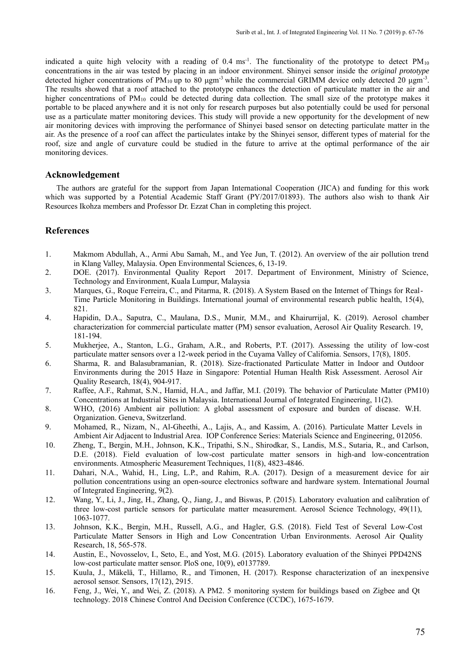indicated a quite high velocity with a reading of  $0.4 \text{ ms}^{-1}$ . The functionality of the prototype to detect PM<sub>10</sub> concentrations in the air was tested by placing in an indoor environment. Shinyei sensor inside the *original prototype* detected higher concentrations of PM<sub>10</sub> up to 80  $\mu$ gm<sup>-3</sup> while the commercial GRIMM device only detected 20  $\mu$ gm<sup>-3</sup>. The results showed that a roof attached to the prototype enhances the detection of particulate matter in the air and higher concentrations of PM<sub>10</sub> could be detected during data collection. The small size of the prototype makes it portable to be placed anywhere and it is not only for research purposes but also potentially could be used for personal use as a particulate matter monitoring devices. This study will provide a new opportunity for the development of new air monitoring devices with improving the performance of Shinyei based sensor on detecting particulate matter in the air. As the presence of a roof can affect the particulates intake by the Shinyei sensor, different types of material for the roof, size and angle of curvature could be studied in the future to arrive at the optimal performance of the air monitoring devices.

### **Acknowledgement**

The authors are grateful for the support from Japan International Cooperation (JICA) and funding for this work which was supported by a Potential Academic Staff Grant (PY/2017/01893). The authors also wish to thank Air Resources Ikohza members and Professor Dr. Ezzat Chan in completing this project.

# **References**

- 1. Makmom Abdullah, A., Armi Abu Samah, M., and Yee Jun, T. (2012). An overview of the air pollution trend in Klang Valley, Malaysia. Open Environmental Sciences, 6, 13-19.
- 2. DOE. (2017). Environmental Quality Report 2017. Department of Environment, Ministry of Science, Technology and Environment, Kuala Lumpur, Malaysia
- 3. Marques, G., Roque Ferreira, C., and Pitarma, R. (2018). A System Based on the Internet of Things for Real-Time Particle Monitoring in Buildings. International journal of environmental research public health, 15(4), 821.
- 4. Hapidin, D.A., Saputra, C., Maulana, D.S., Munir, M.M., and Khairurrijal, K. (2019). Aerosol chamber characterization for commercial particulate matter (PM) sensor evaluation, Aerosol Air Quality Research. 19, 181-194.
- 5. Mukherjee, A., Stanton, L.G., Graham, A.R., and Roberts, P.T. (2017). Assessing the utility of low-cost particulate matter sensors over a 12-week period in the Cuyama Valley of California. Sensors, 17(8), 1805.
- 6. Sharma, R. and Balasubramanian, R. (2018). Size-fractionated Particulate Matter in Indoor and Outdoor Environments during the 2015 Haze in Singapore: Potential Human Health Risk Assessment. Aerosol Air Quality Research, 18(4), 904-917.
- 7. Raffee, A.F., Rahmat, S.N., Hamid, H.A., and Jaffar, M.I. (2019). The behavior of Particulate Matter (PM10) Concentrations at Industrial Sites in Malaysia. International Journal of Integrated Engineering, 11(2).
- 8. WHO, (2016) Ambient air pollution: A global assessment of exposure and burden of disease. W.H. Organization. Geneva, Switzerland.
- 9. Mohamed, R., Nizam, N., Al-Gheethi, A., Lajis, A., and Kassim, A. (2016). Particulate Matter Levels in Ambient Air Adjacent to Industrial Area. IOP Conference Series: Materials Science and Engineering, 012056.
- 10. Zheng, T., Bergin, M.H., Johnson, K.K., Tripathi, S.N., Shirodkar, S., Landis, M.S., Sutaria, R., and Carlson, D.E. (2018). Field evaluation of low-cost particulate matter sensors in high-and low-concentration environments. Atmospheric Measurement Techniques, 11(8), 4823-4846.
- 11. Dahari, N.A., Wahid, H., Ling, L.P., and Rahim, R.A. (2017). Design of a measurement device for air pollution concentrations using an open-source electronics software and hardware system. International Journal of Integrated Engineering, 9(2).
- 12. Wang, Y., Li, J., Jing, H., Zhang, Q., Jiang, J., and Biswas, P. (2015). Laboratory evaluation and calibration of three low-cost particle sensors for particulate matter measurement. Aerosol Science Technology, 49(11), 1063-1077.
- 13. Johnson, K.K., Bergin, M.H., Russell, A.G., and Hagler, G.S. (2018). Field Test of Several Low-Cost Particulate Matter Sensors in High and Low Concentration Urban Environments. Aerosol Air Quality Research, 18, 565-578.
- 14. Austin, E., Novosselov, I., Seto, E., and Yost, M.G. (2015). Laboratory evaluation of the Shinyei PPD42NS low-cost particulate matter sensor. PloS one, 10(9), e0137789.
- 15. Kuula, J., Mäkelä, T., Hillamo, R., and Timonen, H. (2017). Response characterization of an inexpensive aerosol sensor. Sensors, 17(12), 2915.
- 16. Feng, J., Wei, Y., and Wei, Z. (2018). A PM2. 5 monitoring system for buildings based on Zigbee and Qt technology. 2018 Chinese Control And Decision Conference (CCDC), 1675-1679.